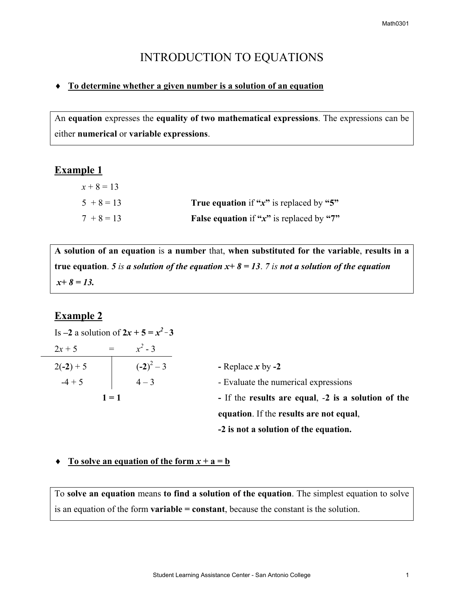# INTRODUCTION TO EQUATIONS

### ♦ **To determine whether a given number is a solution of an equation**

An **equation** expresses the **equality of two mathematical expressions**. The expressions can be either **numerical** or **variable expressions**.

# **Example 1**

| $x + 8 = 13$ |                                                     |
|--------------|-----------------------------------------------------|
| $5 + 8 = 13$ | <b>True equation</b> if " $x$ " is replaced by "5"  |
| $7 + 8 = 13$ | <b>False equation</b> if " $x$ " is replaced by "7" |

**A solution of an equation** is **a number** that, **when substituted for the variable**, **results in a true** equation. *5 is a solution of the equation*  $x+8=13$ *. 7 <i>is not a solution of the equation x+ 8 = 13.* 

## **Example 2**

|             |         | Is $-2$ a solution of $2x + 5 = x^2 - 3$ |                                                     |
|-------------|---------|------------------------------------------|-----------------------------------------------------|
| $2x + 5$    | $=$     | $x^2 - 3$                                |                                                     |
| $2(-2) + 5$ |         | $(-2)^2-3$                               | - Replace $x$ by -2                                 |
| $-4 + 5$    |         | $4 - 3$                                  | - Evaluate the numerical expressions                |
|             | $1 = 1$ |                                          | - If the results are equal, -2 is a solution of the |
|             |         |                                          | equation. If the results are not equal,             |
|             |         |                                          | -2 is not a solution of the equation.               |

#### $\blacklozenge$  **To solve an equation of the form**  $x + a = b$

To **solve an equation** means **to find a solution of the equation**. The simplest equation to solve is an equation of the form **variable = constant**, because the constant is the solution.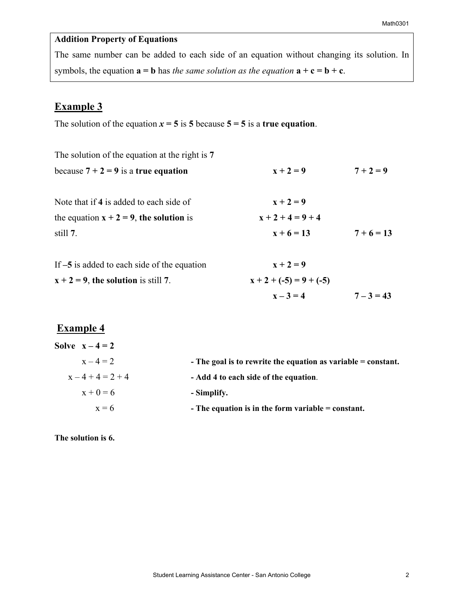# **Addition Property of Equations**

The same number can be added to each side of an equation without changing its solution. In symbols, the equation  $\mathbf{a} = \mathbf{b}$  has *the same solution as the equation*  $\mathbf{a} + \mathbf{c} = \mathbf{b} + \mathbf{c}$ .

# **Example 3**

The solution of the equation  $x = 5$  is 5 because  $5 = 5$  is a **true equation**.

| The solution of the equation at the right is 7 |                           |              |
|------------------------------------------------|---------------------------|--------------|
| because $7 + 2 = 9$ is a true equation         | $x + 2 = 9$               | $7 + 2 = 9$  |
| Note that if 4 is added to each side of        | $x + 2 = 9$               |              |
| the equation $x + 2 = 9$ , the solution is     | $x + 2 + 4 = 9 + 4$       |              |
| still 7.                                       | $x + 6 = 13$              | $7+6=13$     |
| If $-5$ is added to each side of the equation  | $x + 2 = 9$               |              |
| $x + 2 = 9$ , the solution is still 7.         | $x + 2 + (-5) = 9 + (-5)$ |              |
|                                                | $x - 3 = 4$               | $7 - 3 = 43$ |

# **Example 4**

| Solve $x-4=2$ |                                                                 |
|---------------|-----------------------------------------------------------------|
| $x - 4 = 2$   | - The goal is to rewrite the equation as variable $=$ constant. |
| $x-4+4=2+4$   | - Add 4 to each side of the equation.                           |
| $x + 0 = 6$   | - Simplify.                                                     |
| $x = 6$       | - The equation is in the form variable $=$ constant.            |

**The solution is 6.**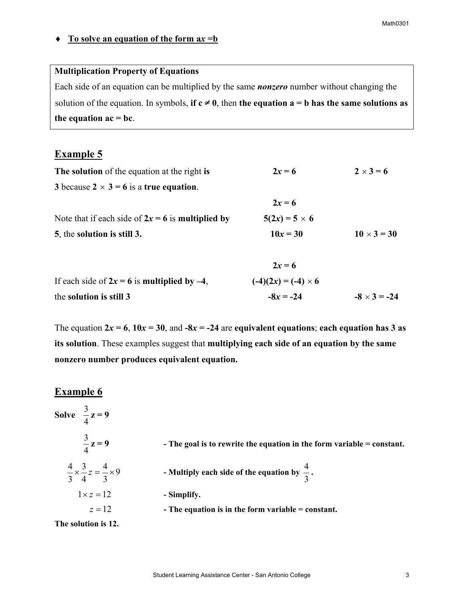### ♦ **To solve an equation of the form a***x* **=b**

### **Multiplication Property of Equations**

Each side of an equation can be multiplied by the same *nonzero* number without changing the solution of the equation. In symbols, **if**  $c \neq 0$ , then **the equation**  $a = b$  **has the same solutions as** the equation  $ac = bc$ .

# **Example 5**

| The solution of the equation at the right is        | $2x = 6$             | $2 \times 3 = 6$   |
|-----------------------------------------------------|----------------------|--------------------|
| 3 because $2 \times 3 = 6$ is a true equation.      |                      |                    |
|                                                     | $2x = 6$             |                    |
| Note that if each side of $2x = 6$ is multiplied by | $5(2x) = 5 \times 6$ |                    |
| 5, the solution is still 3.                         | $10x = 30$           | $10 \times 3 = 30$ |
|                                                     |                      |                    |

|                                                  | $2x = 6$                   |                     |
|--------------------------------------------------|----------------------------|---------------------|
| If each side of $2x = 6$ is multiplied by $-4$ , | $(-4)(2x) = (-4) \times 6$ |                     |
| the solution is still 3                          | $-8x = -24$                | $-8 \times 3 = -24$ |

The equation  $2x = 6$ ,  $10x = 30$ , and  $-8x = -24$  are equivalent equations; each equation has 3 as **its solution**. These examples suggest that **multiplying each side of an equation by the same nonzero number produces equivalent equation.**

# **Example 6**

| Solve $\frac{3}{4}z = 9$                                  |                                                                          |
|-----------------------------------------------------------|--------------------------------------------------------------------------|
| $\frac{3}{4}z=9$                                          | - The goal is to rewrite the equation in the form variable $=$ constant. |
| $\frac{4}{3} \times \frac{3}{4} z = \frac{4}{3} \times 9$ | - Multiply each side of the equation by $\frac{4}{3}$ .                  |
| $1 \times z = 12$                                         | - Simplify.                                                              |
| $z=12$                                                    | - The equation is in the form variable $=$ constant.                     |
| The solution is 12.                                       |                                                                          |